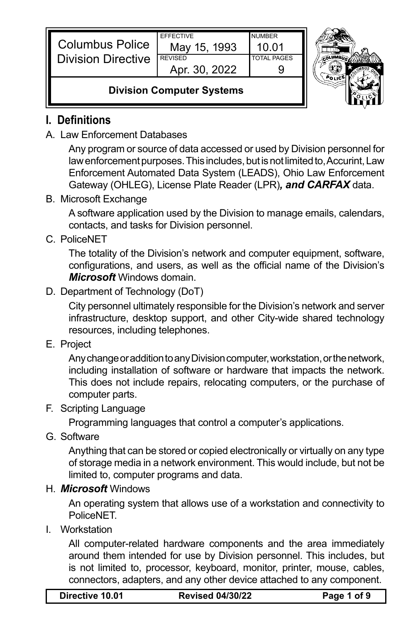|                           | <b>FFFFCTIVE</b> | <b>NUMBER</b>      | Þ |
|---------------------------|------------------|--------------------|---|
| <b>Columbus Police</b>    | May 15, 1993     | 10 01              |   |
| <b>Division Directive</b> | <b>REVISED</b>   | <b>TOTAL PAGES</b> |   |
|                           | Apr. 30, 2022    |                    |   |
|                           |                  |                    |   |



## **Division Computer Systems**

## **I. Definitions**

A. Law Enforcement Databases

Any program or source of data accessed or used by Division personnel for law enforcement purposes. This includes, but is not limited to, Accurint, Law Enforcement Automated Data System (LEADS), Ohio Law Enforcement Gateway (OHLEG), License Plate Reader (LPR)*, and CARFAX* data.

B. Microsoft Exchange

A software application used by the Division to manage emails, calendars, contacts, and tasks for Division personnel.

C. PoliceNET

The totality of the Division's network and computer equipment, software, configurations, and users, as well as the official name of the Division's *Microsoft* Windows domain.

D. Department of Technology (DoT)

City personnel ultimately responsible for the Division's network and server infrastructure, desktop support, and other City-wide shared technology resources, including telephones.

E. Project

Any change or addition to any Division computer, workstation, or the network, including installation of software or hardware that impacts the network. This does not include repairs, relocating computers, or the purchase of computer parts.

F. Scripting Language

Programming languages that control a computer's applications.

G. Software

Anything that can be stored or copied electronically or virtually on any type of storage media in a network environment. This would include, but not be limited to, computer programs and data.

## H. *Microsoft* Windows

An operating system that allows use of a workstation and connectivity to PoliceNET.

I. Workstation

All computer-related hardware components and the area immediately around them intended for use by Division personnel. This includes, but is not limited to, processor, keyboard, monitor, printer, mouse, cables, connectors, adapters, and any other device attached to any component.

| Directive 10.01 |  |
|-----------------|--|
|-----------------|--|

**Directive 10.01 Revised 04/30/22 Page 1 of 9**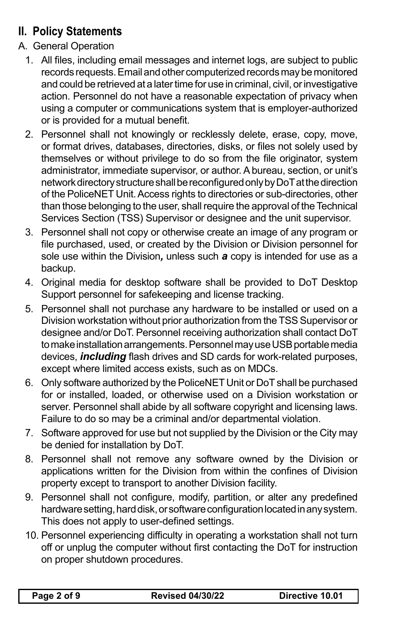# **II. Policy Statements**

- A. General Operation
	- 1. All files, including email messages and internet logs, are subject to public records requests. Email and other computerized records may be monitored and could be retrieved at a later time for use in criminal, civil, or investigative action. Personnel do not have a reasonable expectation of privacy when using a computer or communications system that is employer-authorized or is provided for a mutual benefit.
	- 2. Personnel shall not knowingly or recklessly delete, erase, copy, move, or format drives, databases, directories, disks, or files not solely used by themselves or without privilege to do so from the file originator, system administrator, immediate supervisor, or author. A bureau, section, or unit's network directory structure shall be reconfigured only by DoT at the direction of the PoliceNET Unit. Access rights to directories or sub-directories, other than those belonging to the user, shall require the approval of the Technical Services Section (TSS) Supervisor or designee and the unit supervisor.
	- 3. Personnel shall not copy or otherwise create an image of any program or file purchased, used, or created by the Division or Division personnel for sole use within the Division*,* unless such *a* copy is intended for use as a backup.
	- 4. Original media for desktop software shall be provided to DoT Desktop Support personnel for safekeeping and license tracking.
	- 5. Personnel shall not purchase any hardware to be installed or used on a Division workstation without prior authorization from the TSS Supervisor or designee and/or DoT. Personnel receiving authorization shall contact DoT to make installation arrangements. Personnel may use USB portable media devices, *including* flash drives and SD cards for work-related purposes, except where limited access exists, such as on MDCs.
	- 6. Only software authorized by the PoliceNET Unit or DoT shall be purchased for or installed, loaded, or otherwise used on a Division workstation or server. Personnel shall abide by all software copyright and licensing laws. Failure to do so may be a criminal and/or departmental violation.
	- 7. Software approved for use but not supplied by the Division or the City may be denied for installation by DoT.
	- 8. Personnel shall not remove any software owned by the Division or applications written for the Division from within the confines of Division property except to transport to another Division facility.
	- 9. Personnel shall not configure, modify, partition, or alter any predefined hardware setting, hard disk, or software configuration located in any system. This does not apply to user-defined settings.
	- 10. Personnel experiencing difficulty in operating a workstation shall not turn off or unplug the computer without first contacting the DoT for instruction on proper shutdown procedures.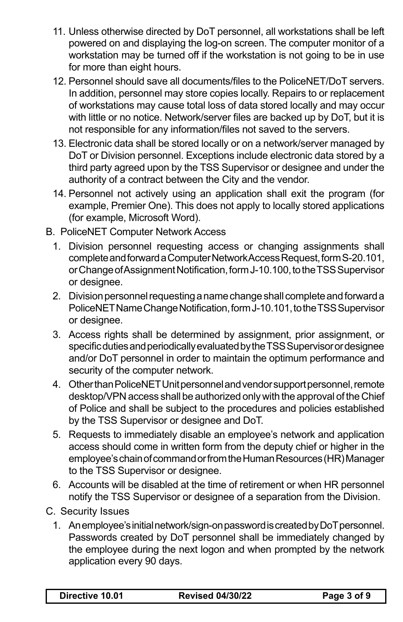- 11. Unless otherwise directed by DoT personnel, all workstations shall be left powered on and displaying the log-on screen. The computer monitor of a workstation may be turned off if the workstation is not going to be in use for more than eight hours.
- 12. Personnel should save all documents/files to the PoliceNET/DoT servers. In addition, personnel may store copies locally. Repairs to or replacement of workstations may cause total loss of data stored locally and may occur with little or no notice. Network/server files are backed up by DoT, but it is not responsible for any information/files not saved to the servers.
- 13. Electronic data shall be stored locally or on a network/server managed by DoT or Division personnel. Exceptions include electronic data stored by a third party agreed upon by the TSS Supervisor or designee and under the authority of a contract between the City and the vendor.
- 14. Personnel not actively using an application shall exit the program (for example, Premier One). This does not apply to locally stored applications (for example, Microsoft Word).
- B. PoliceNET Computer Network Access
	- 1. Division personnel requesting access or changing assignments shall complete and forward a Computer Network Access Request, form S-20.101, or Change of Assignment Notification, form J-10.100, to the TSS Supervisor or designee.
	- 2. Division personnel requesting a name change shall complete and forward a PoliceNET Name Change Notification, form J-10.101, to the TSS Supervisor or designee.
	- 3. Access rights shall be determined by assignment, prior assignment, or specific duties and periodically evaluated by the TSS Supervisor or designee and/or DoT personnel in order to maintain the optimum performance and security of the computer network.
	- 4. Other than PoliceNET Unit personnel and vendor support personnel, remote desktop/VPN access shall be authorized only with the approval of the Chief of Police and shall be subject to the procedures and policies established by the TSS Supervisor or designee and DoT.
	- 5. Requests to immediately disable an employee's network and application access should come in written form from the deputy chief or higher in the employee's chain of command or from the Human Resources (HR) Manager to the TSS Supervisor or designee.
	- 6. Accounts will be disabled at the time of retirement or when HR personnel notify the TSS Supervisor or designee of a separation from the Division.
- C. Security Issues
	- 1. An employee's initial network/sign-on password is created by DoT personnel. Passwords created by DoT personnel shall be immediately changed by the employee during the next logon and when prompted by the network application every 90 days.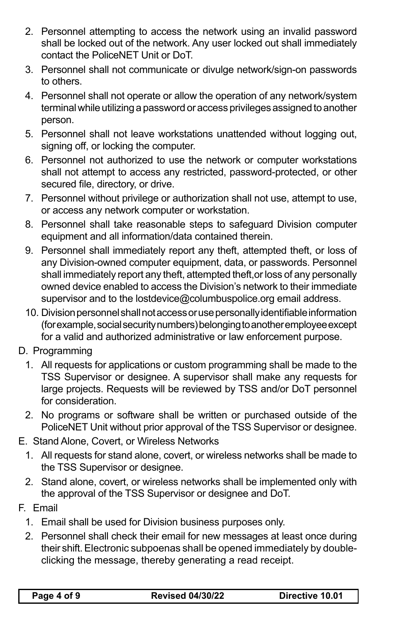- 2. Personnel attempting to access the network using an invalid password shall be locked out of the network. Any user locked out shall immediately contact the PoliceNET Unit or DoT.
- 3. Personnel shall not communicate or divulge network/sign-on passwords to others.
- 4. Personnel shall not operate or allow the operation of any network/system terminal while utilizing a password or access privileges assigned to another person.
- 5. Personnel shall not leave workstations unattended without logging out, signing off, or locking the computer.
- 6. Personnel not authorized to use the network or computer workstations shall not attempt to access any restricted, password-protected, or other secured file, directory, or drive.
- 7. Personnel without privilege or authorization shall not use, attempt to use, or access any network computer or workstation.
- 8. Personnel shall take reasonable steps to safeguard Division computer equipment and all information/data contained therein.
- 9. Personnel shall immediately report any theft, attempted theft, or loss of any Division-owned computer equipment, data, or passwords. Personnel shall immediately report any theft, attempted theft,or loss of any personally owned device enabled to access the Division's network to their immediate supervisor and to the lostdevice@columbuspolice.org email address.
- 10. Division personnel shall not access or use personally identifiable information (for example, social security numbers) belonging to another employee except for a valid and authorized administrative or law enforcement purpose.
- D. Programming
	- 1. All requests for applications or custom programming shall be made to the TSS Supervisor or designee. A supervisor shall make any requests for large projects. Requests will be reviewed by TSS and/or DoT personnel for consideration.
	- 2. No programs or software shall be written or purchased outside of the PoliceNET Unit without prior approval of the TSS Supervisor or designee.
- E. Stand Alone, Covert, or Wireless Networks
	- 1. All requests for stand alone, covert, or wireless networks shall be made to the TSS Supervisor or designee.
	- 2. Stand alone, covert, or wireless networks shall be implemented only with the approval of the TSS Supervisor or designee and DoT.
- F. Email
	- 1. Email shall be used for Division business purposes only.
	- 2. Personnel shall check their email for new messages at least once during their shift. Electronic subpoenas shall be opened immediately by doubleclicking the message, thereby generating a read receipt.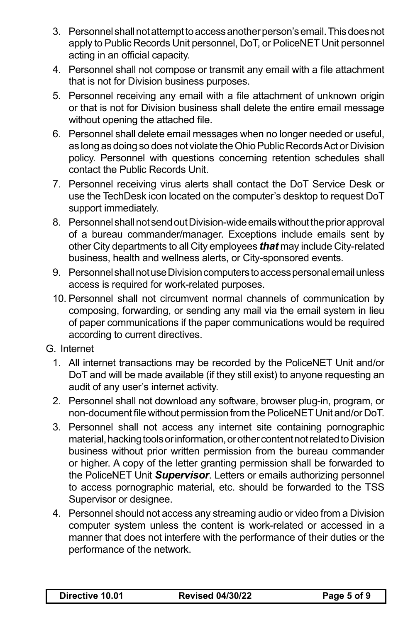- 3. Personnel shall not attempt to access another person's email. This does not apply to Public Records Unit personnel, DoT, or PoliceNET Unit personnel acting in an official capacity.
- 4. Personnel shall not compose or transmit any email with a file attachment that is not for Division business purposes.
- 5. Personnel receiving any email with a file attachment of unknown origin or that is not for Division business shall delete the entire email message without opening the attached file.
- 6. Personnel shall delete email messages when no longer needed or useful, as long as doing so does not violate the Ohio Public Records Act or Division policy. Personnel with questions concerning retention schedules shall contact the Public Records Unit.
- 7. Personnel receiving virus alerts shall contact the DoT Service Desk or use the TechDesk icon located on the computer's desktop to request DoT support immediately.
- 8. Personnel shall not send out Division-wide emails without the prior approval of a bureau commander/manager. Exceptions include emails sent by other City departments to all City employees *that* may include City-related business, health and wellness alerts, or City-sponsored events.
- 9. Personnel shall not use Division computers to access personal email unless access is required for work-related purposes.
- 10. Personnel shall not circumvent normal channels of communication by composing, forwarding, or sending any mail via the email system in lieu of paper communications if the paper communications would be required according to current directives.
- G. Internet
	- 1. All internet transactions may be recorded by the PoliceNET Unit and/or DoT and will be made available (if they still exist) to anyone requesting an audit of any user's internet activity.
	- 2. Personnel shall not download any software, browser plug-in, program, or non-document file without permission from the PoliceNET Unit and/or DoT.
	- 3. Personnel shall not access any internet site containing pornographic material, hacking tools or information, or other content not related to Division business without prior written permission from the bureau commander or higher. A copy of the letter granting permission shall be forwarded to the PoliceNET Unit *Supervisor*. Letters or emails authorizing personnel to access pornographic material, etc. should be forwarded to the TSS Supervisor or designee.
	- 4. Personnel should not access any streaming audio or video from a Division computer system unless the content is work-related or accessed in a manner that does not interfere with the performance of their duties or the performance of the network.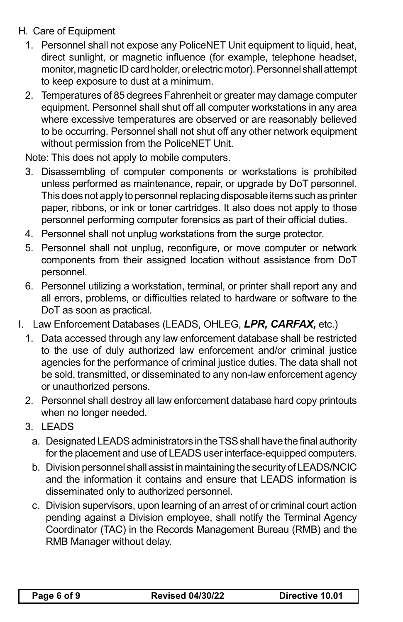- H. Care of Equipment
	- 1. Personnel shall not expose any PoliceNET Unit equipment to liquid, heat, direct sunlight, or magnetic influence (for example, telephone headset, monitor, magnetic ID card holder, or electric motor). Personnel shall attempt to keep exposure to dust at a minimum.
	- 2. Temperatures of 85 degrees Fahrenheit or greater may damage computer equipment. Personnel shall shut off all computer workstations in any area where excessive temperatures are observed or are reasonably believed to be occurring. Personnel shall not shut off any other network equipment without permission from the PoliceNET Unit.

Note: This does not apply to mobile computers.

- 3. Disassembling of computer components or workstations is prohibited unless performed as maintenance, repair, or upgrade by DoT personnel. This does not apply to personnel replacing disposable items such as printer paper, ribbons, or ink or toner cartridges. It also does not apply to those personnel performing computer forensics as part of their official duties.
- 4. Personnel shall not unplug workstations from the surge protector.
- 5. Personnel shall not unplug, reconfigure, or move computer or network components from their assigned location without assistance from DoT personnel.
- 6. Personnel utilizing a workstation, terminal, or printer shall report any and all errors, problems, or difficulties related to hardware or software to the DoT as soon as practical.
- I. Law Enforcement Databases (LEADS, OHLEG, *LPR, CARFAX,* etc.)
	- 1. Data accessed through any law enforcement database shall be restricted to the use of duly authorized law enforcement and/or criminal justice agencies for the performance of criminal justice duties. The data shall not be sold, transmitted, or disseminated to any non-law enforcement agency or unauthorized persons.
	- 2. Personnel shall destroy all law enforcement database hard copy printouts when no longer needed.
	- 3. LEADS
		- a. Designated LEADS administrators in the TSS shall have the final authority for the placement and use of LEADS user interface-equipped computers.
		- b. Division personnel shall assist in maintaining the security of LEADS/NCIC and the information it contains and ensure that LEADS information is disseminated only to authorized personnel.
		- c. Division supervisors, upon learning of an arrest of or criminal court action pending against a Division employee, shall notify the Terminal Agency Coordinator (TAC) in the Records Management Bureau (RMB) and the RMB Manager without delay.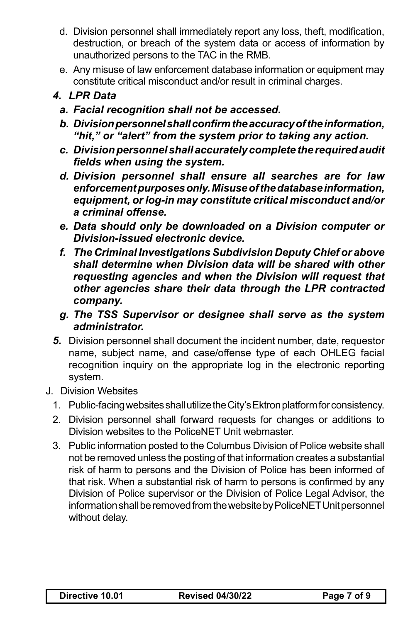- d. Division personnel shall immediately report any loss, theft, modification, destruction, or breach of the system data or access of information by unauthorized persons to the TAC in the RMB.
- e. Any misuse of law enforcement database information or equipment may constitute critical misconduct and/or result in criminal charges.

#### *4. LPR Data*

- *a. Facial recognition shall not be accessed.*
- *b. Divisionpersonnelshallconfirmtheaccuracyoftheinformation, "hit," or "alert" from the system prior to taking any action.*
- *c. Divisionpersonnelshallaccurately completetherequiredaudit fields when using the system.*
- *d. Division personnel shall ensure all searches are for law enforcementpurposesonly.Misuseofthedatabaseinformation, equipment, or log-in may constitute critical misconduct and/or a criminal offense.*
- *e. Data should only be downloaded on a Division computer or Division-issued electronic device.*
- *f. The Criminal Investigations Subdivision Deputy Chief or above shall determine when Division data will be shared with other requesting agencies and when the Division will request that other agencies share their data through the LPR contracted company.*
- *g. The TSS Supervisor or designee shall serve as the system administrator.*
- *5.* Division personnel shall document the incident number, date, requestor name, subject name, and case/offense type of each OHLEG facial recognition inquiry on the appropriate log in the electronic reporting system.
- J. Division Websites
	- 1. Public-facing websites shall utilize the City's Ektron platform for consistency.
	- 2. Division personnel shall forward requests for changes or additions to Division websites to the PoliceNET Unit webmaster.
	- 3. Public information posted to the Columbus Division of Police website shall not be removed unless the posting of that information creates a substantial risk of harm to persons and the Division of Police has been informed of that risk. When a substantial risk of harm to persons is confirmed by any Division of Police supervisor or the Division of Police Legal Advisor, the information shall be removed from the website by PoliceNET Unit personnel without delay.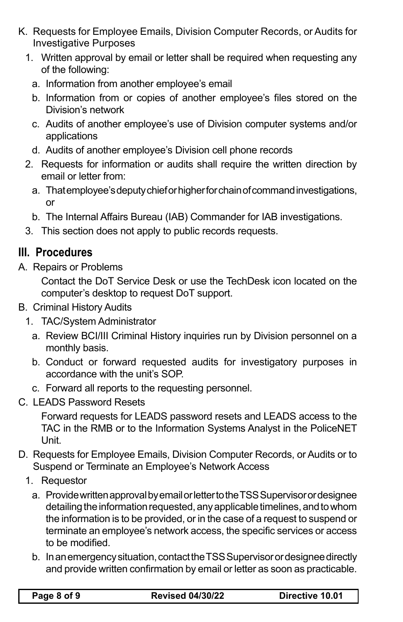- K. Requests for Employee Emails, Division Computer Records, or Audits for Investigative Purposes
	- 1. Written approval by email or letter shall be required when requesting any of the following:
		- a. Information from another employee's email
		- b. Information from or copies of another employee's files stored on the Division's network
		- c. Audits of another employee's use of Division computer systems and/or applications
		- d. Audits of another employee's Division cell phone records
	- 2. Requests for information or audits shall require the written direction by email or letter from:
		- a. That employee's deputy chief or higher for chain of command investigations, or
		- b. The Internal Affairs Bureau (IAB) Commander for IAB investigations.
	- 3. This section does not apply to public records requests.

# **III. Procedures**

A. Repairs or Problems

Contact the DoT Service Desk or use the TechDesk icon located on the computer's desktop to request DoT support.

- B. Criminal History Audits
	- 1. TAC/System Administrator
		- a. Review BCI/III Criminal History inquiries run by Division personnel on a monthly basis.
		- b. Conduct or forward requested audits for investigatory purposes in accordance with the unit's SOP.
		- c. Forward all reports to the requesting personnel.
- C. LEADS Password Resets

Forward requests for LEADS password resets and LEADS access to the TAC in the RMB or to the Information Systems Analyst in the PoliceNET Unit.

- D. Requests for Employee Emails, Division Computer Records, or Audits or to Suspend or Terminate an Employee's Network Access
	- 1. Requestor
		- a. Provide written approval by email or letter to the TSS Supervisor or designee detailing the information requested, any applicable timelines, and to whom the information is to be provided, or in the case of a request to suspend or terminate an employee's network access, the specific services or access to be modified.
		- b. In an emergency situation, contact the TSS Supervisor or designee directly and provide written confirmation by email or letter as soon as practicable.